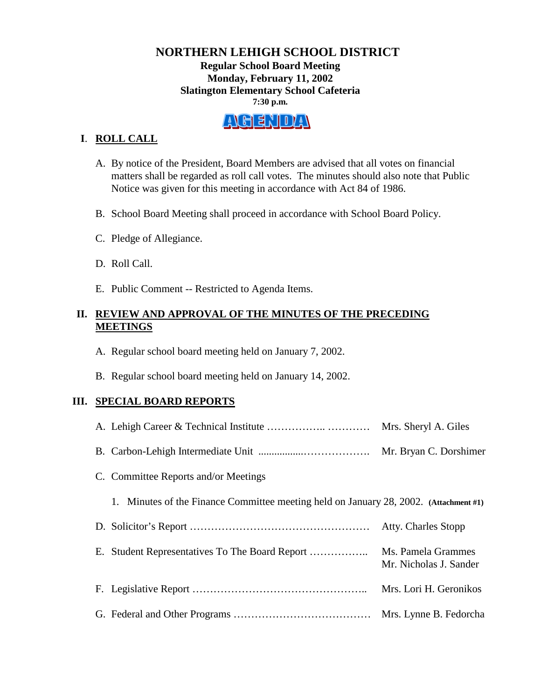# **NORTHERN LEHIGH SCHOOL DISTRICT Regular School Board Meeting Monday, February 11, 2002 Slatington Elementary School Cafeteria 7:30 p.m.**

# A GENDA

# **I**. **ROLL CALL**

- A. By notice of the President, Board Members are advised that all votes on financial matters shall be regarded as roll call votes. The minutes should also note that Public Notice was given for this meeting in accordance with Act 84 of 1986.
- B. School Board Meeting shall proceed in accordance with School Board Policy.
- C. Pledge of Allegiance.
- D. Roll Call.
- E. Public Comment -- Restricted to Agenda Items.

## **II. REVIEW AND APPROVAL OF THE MINUTES OF THE PRECEDING MEETINGS**

- A. Regular school board meeting held on January 7, 2002.
- B. Regular school board meeting held on January 14, 2002.

#### **III. SPECIAL BOARD REPORTS**

|                                                                                       | Mrs. Sheryl A. Giles                         |
|---------------------------------------------------------------------------------------|----------------------------------------------|
|                                                                                       | Mr. Bryan C. Dorshimer                       |
| C. Committee Reports and/or Meetings                                                  |                                              |
| 1. Minutes of the Finance Committee meeting held on January 28, 2002. (Attachment #1) |                                              |
|                                                                                       | Atty. Charles Stopp                          |
|                                                                                       | Ms. Pamela Grammes<br>Mr. Nicholas J. Sander |
|                                                                                       | Mrs. Lori H. Geronikos                       |
|                                                                                       | Mrs. Lynne B. Fedorcha                       |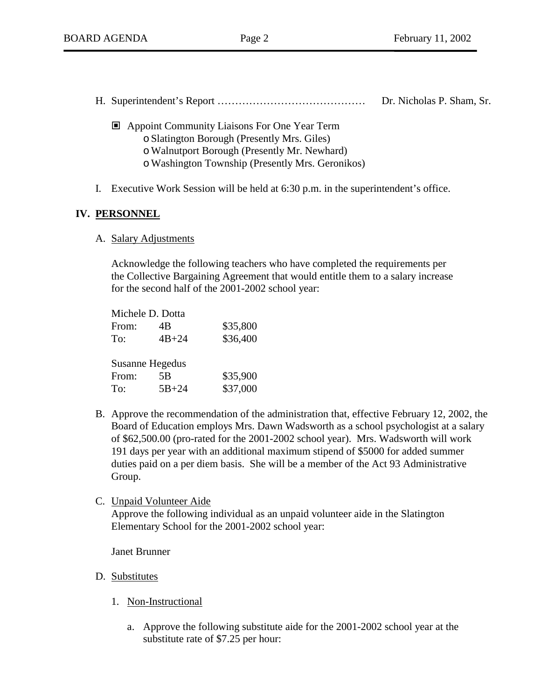- H. Superintendent's Report …………………………………… Dr. Nicholas P. Sham, Sr.
	- Appoint Community Liaisons For One Year Term
		- o Slatington Borough (Presently Mrs. Giles)
		- o Walnutport Borough (Presently Mr. Newhard)
		- o Washington Township (Presently Mrs. Geronikos)
- I. Executive Work Session will be held at 6:30 p.m. in the superintendent's office.

# **IV. PERSONNEL**

A. Salary Adjustments

Acknowledge the following teachers who have completed the requirements per the Collective Bargaining Agreement that would entitle them to a salary increase for the second half of the 2001-2002 school year:

|                 | Michele D. Dotta |          |  |  |
|-----------------|------------------|----------|--|--|
| From:           | 4B               | \$35,800 |  |  |
| To:             | $4B + 24$        | \$36,400 |  |  |
|                 |                  |          |  |  |
| Susanne Hegedus |                  |          |  |  |
| From:           | 5B               | \$35,900 |  |  |
| To:             | $5B + 24$        | \$37,000 |  |  |

B. Approve the recommendation of the administration that, effective February 12, 2002, the Board of Education employs Mrs. Dawn Wadsworth as a school psychologist at a salary of \$62,500.00 (pro-rated for the 2001-2002 school year). Mrs. Wadsworth will work 191 days per year with an additional maximum stipend of \$5000 for added summer duties paid on a per diem basis. She will be a member of the Act 93 Administrative Group.

#### C. Unpaid Volunteer Aide

Approve the following individual as an unpaid volunteer aide in the Slatington Elementary School for the 2001-2002 school year:

Janet Brunner

- D. Substitutes
	- 1. Non-Instructional
		- a. Approve the following substitute aide for the 2001-2002 school year at the substitute rate of \$7.25 per hour: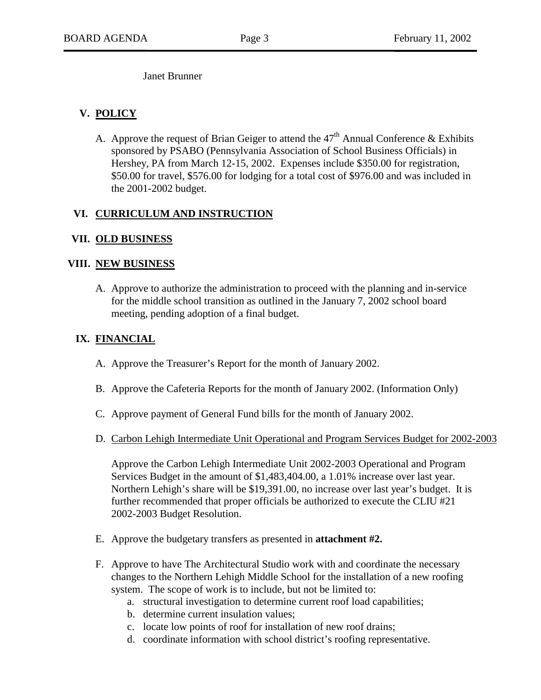Janet Brunner

# **V. POLICY**

A. Approve the request of Brian Geiger to attend the  $47<sup>th</sup>$  Annual Conference & Exhibits sponsored by PSABO (Pennsylvania Association of School Business Officials) in Hershey, PA from March 12-15, 2002. Expenses include \$350.00 for registration, \$50.00 for travel, \$576.00 for lodging for a total cost of \$976.00 and was included in the 2001-2002 budget.

# **VI. CURRICULUM AND INSTRUCTION**

#### **VII. OLD BUSINESS**

#### **VIII. NEW BUSINESS**

A. Approve to authorize the administration to proceed with the planning and in-service for the middle school transition as outlined in the January 7, 2002 school board meeting, pending adoption of a final budget.

#### **IX. FINANCIAL**

- A. Approve the Treasurer's Report for the month of January 2002.
- B. Approve the Cafeteria Reports for the month of January 2002. (Information Only)
- C. Approve payment of General Fund bills for the month of January 2002.
- D. Carbon Lehigh Intermediate Unit Operational and Program Services Budget for 2002-2003

Approve the Carbon Lehigh Intermediate Unit 2002-2003 Operational and Program Services Budget in the amount of \$1,483,404.00, a 1.01% increase over last year. Northern Lehigh's share will be \$19,391.00, no increase over last year's budget. It is further recommended that proper officials be authorized to execute the CLIU #21 2002-2003 Budget Resolution.

- E. Approve the budgetary transfers as presented in **attachment #2.**
- F. Approve to have The Architectural Studio work with and coordinate the necessary changes to the Northern Lehigh Middle School for the installation of a new roofing system. The scope of work is to include, but not be limited to:
	- a. structural investigation to determine current roof load capabilities;
	- b. determine current insulation values;
	- c. locate low points of roof for installation of new roof drains;
	- d. coordinate information with school district's roofing representative.